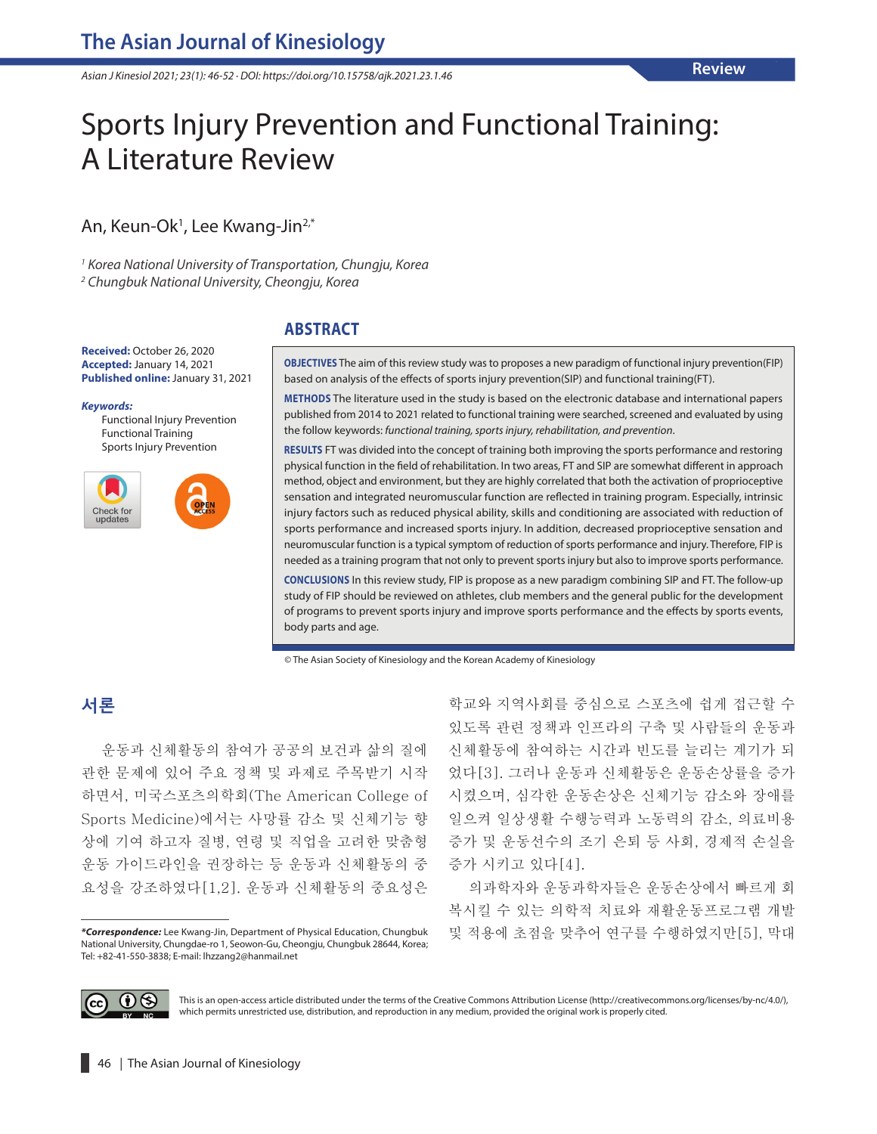*Asian J Kinesiol 2021; 23(1): 46-52 · DOI: https://doi.org/10.15758/ajk.2021.23.1.46*

# Sports Injury Prevention and Functional Training: A Literature Review

An, Keun-Ok<sup>1</sup>, Lee Kwang-Jin<sup>2,\*</sup>

*1 Korea National University of Transportation, Chungju, Korea 2 Chungbuk National University, Cheongju, Korea*

#### **ABSTRACT**

**Received:** October 26, 2020 **Accepted:** January 14, 2021 **Published online:** January 31, 2021

#### *Keywords:*

Functional Injury Prevention Functional Training Sports Injury Prevention



**OBJECTIVES** The aim of this review study was to proposes a new paradigm of functional injury prevention(FIP) based on analysis of the effects of sports injury prevention(SIP) and functional training(FT).

**METHODS** The literature used in the study is based on the electronic database and international papers published from 2014 to 2021 related to functional training were searched, screened and evaluated by using the follow keywords: *functional training, sports injury, rehabilitation, and prevention*.

**RESULTS** FT was divided into the concept of training both improving the sports performance and restoring physical function in the field of rehabilitation. In two areas, FT and SIP are somewhat different in approach method, object and environment, but they are highly correlated that both the activation of proprioceptive sensation and integrated neuromuscular function are reflected in training program. Especially, intrinsic injury factors such as reduced physical ability, skills and conditioning are associated with reduction of sports performance and increased sports injury. In addition, decreased proprioceptive sensation and neuromuscular function is a typical symptom of reduction of sports performance and injury. Therefore, FIP is needed as a training program that not only to prevent sports injury but also to improve sports performance.

**CONCLUSIONS** In this review study, FIP is propose as a new paradigm combining SIP and FT. The follow-up study of FIP should be reviewed on athletes, club members and the general public for the development of programs to prevent sports injury and improve sports performance and the effects by sports events, body parts and age.

© The Asian Society of Kinesiology and the Korean Academy of Kinesiology

# **서론**

운동과 신체활동의 참여가 공공의 보건과 삶의 질에 관한 문제에 있어 주요 정책 및 과제로 주목받기 시작 하면서, 미국스포츠의학회(The American College of Sports Medicine)에서는 사망률 감소 및 신체기능 향 상에 기여 하고자 질병, 연령 및 직업을 고려한 맞춤형 운동 가이드라인을 권장하는 등 운동과 신체활동의 중 요성을 강조하였다[1,2]. 운동과 신체활동의 중요성은

학교와 지역사회를 중심으로 스포츠에 쉽게 접근할 수 있도록 관련 정책과 인프라의 구축 및 사람들의 운동과 신체활동에 참여하는 시간과 빈도를 늘리는 계기가 되 었다[3]. 그러나 운동과 신체활동은 운동손상률을 증가 시켰으며, 심각한 운동손상은 신체기능 감소와 장애를 일으켜 일상생활 수행능력과 노동력의 감소, 의료비용 증가 및 운동선수의 조기 은퇴 등 사회, 경제적 손실을 증가 시키고 있다[4].

의과학자와 운동과학자들은 운동손상에서 빠르게 회 복시킬 수 있는 의학적 치료와 재활운동프로그램 개발 및 적용에 초점을 맞추어 연구를 수행하였지만[5], 막대



This is an open-access article distributed under the terms of the Creative Commons Attribution License (http://creativecommons.org/licenses/by-nc/4.0/), which permits unrestricted use, distribution, and reproduction in any medium, provided the original work is properly cited.

*<sup>\*</sup>Correspondence:* Lee Kwang-Jin, Department of Physical Education, Chungbuk National University, Chungdae-ro 1, Seowon-Gu, Cheongju, Chungbuk 28644, Korea; Tel: +82-41-550-3838; E-mail: lhzzang2@hanmail.net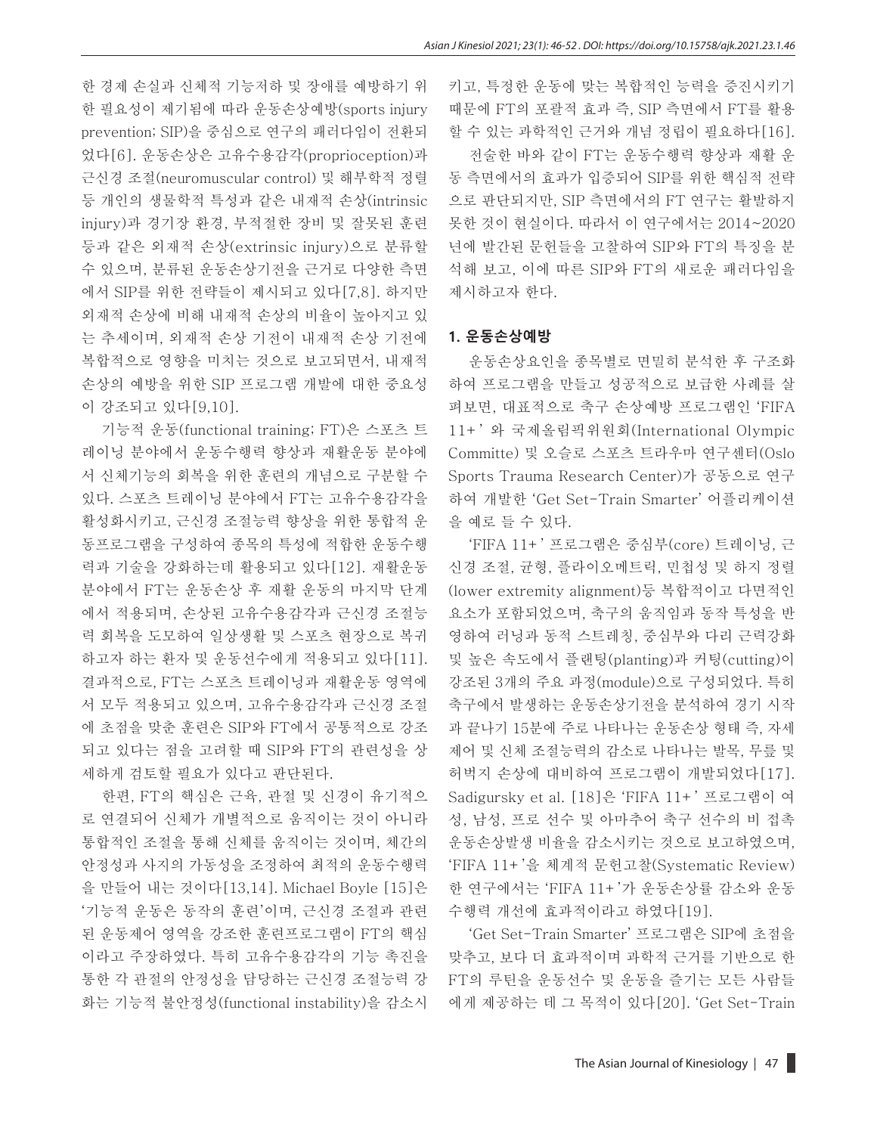한 경제 손실과 신체적 기능저하 및 장애를 예방하기 위 한 필요성이 제기됨에 따라 운동손상예방(sports injury prevention; SIP)을 중심으로 연구의 패러다임이 전환되 었다[6]. 운동손상은 고유수용감각(proprioception)과 근신경 조절(neuromuscular control) 및 해부학적 정렬 등 개인의 생물학적 특성과 같은 내재적 손상(intrinsic injury)과 경기장 환경, 부적절한 장비 및 잘못된 훈련 등과 같은 외재적 손상(extrinsic injury)으로 분류할 수 있으며, 분류된 운동손상기전을 근거로 다양한 측면 에서 SIP를 위한 전략들이 제시되고 있다[7,8]. 하지만 외재적 손상에 비해 내재적 손상의 비율이 높아지고 있 는 추세이며, 외재적 손상 기전이 내재적 손상 기전에 복합적으로 영향을 미치는 것으로 보고되면서, 내재적 손상의 예방을 위한 SIP 프로그램 개발에 대한 중요성 이 강조되고 있다[9,10].

기능적 운동(functional training; FT)은 스포츠 트 레이닝 분야에서 운동수행력 향상과 재활운동 분야에 서 신체기능의 회복을 위한 훈련의 개념으로 구분할 수 있다. 스포츠 트레이닝 분야에서 FT는 고유수용감각을 활성화시키고, 근신경 조절능력 향상을 위한 통합적 운 동프로그램을 구성하여 종목의 특성에 적합한 운동수행 력과 기술을 강화하는데 활용되고 있다[12]. 재활운동 분야에서 FT는 운동손상 후 재활 운동의 마지막 단계 에서 적용되며, 손상된 고유수용감각과 근신경 조절능 력 회복을 도모하여 일상생활 및 스포츠 현장으로 복귀 하고자 하는 환자 및 운동선수에게 적용되고 있다[11]. 결과적으로, FT는 스포츠 트레이닝과 재활운동 영역에 서 모두 적용되고 있으며, 고유수용감각과 근신경 조절 에 초점을 맞춘 훈련은 SIP와 FT에서 공통적으로 강조 되고 있다는 점을 고려할 때 SIP와 FT의 관련성을 상 세하게 검토할 필요가 있다고 판단된다.

한편, FT의 핵심은 근육, 관절 및 신경이 유기적으 로 연결되어 신체가 개별적으로 움직이는 것이 아니라 통합적인 조절을 통해 신체를 움직이는 것이며, 체간의 안정성과 사지의 가동성을 조정하여 최적의 운동수행력 을 만들어 내는 것이다[13,14]. Michael Boyle [15]은 '기능적 운동은 동작의 훈련'이며, 근신경 조절과 관련 된 운동제어 영역을 강조한 훈련프로그램이 FT의 핵심 이라고 주장하였다. 특히 고유수용감각의 기능 촉진을 통한 각 관절의 안정성을 담당하는 근신경 조절능력 강 화는 기능적 불안정성(functional instability)을 감소시 키고, 특정한 운동에 맞는 복합적인 능력을 증진시키기 때문에 FT의 포괄적 효과 즉, SIP 측면에서 FT를 활용 할 수 있는 과학적인 근거와 개념 정립이 필요하다[16].

전술한 바와 같이 FT는 운동수행력 향상과 재활 운 동 측면에서의 효과가 입증되어 SIP를 위한 핵심적 전략 으로 판단되지만, SIP 측면에서의 FT 연구는 활발하지 못한 것이 현실이다. 따라서 이 연구에서는 2014~2020 년에 발간된 문헌들을 고찰하여 SIP와 FT의 특징을 분 석해 보고, 이에 따른 SIP와 FT의 새로운 패러다임을 제시하고자 한다.

#### **1. 운동손상예방**

운동손상요인을 종목별로 면밀히 분석한 후 구조화 하여 프로그램을 만들고 성공적으로 보급한 사례를 살 펴보면, 대표적으로 축구 손상예방 프로그램인 'FIFA 11+' 와 국제올림픽위원회(International Olympic Committe) 및 오슬로 스포츠 트라우마 연구센터(Oslo Sports Trauma Research Center)가 공동으로 연구 하여 개발한 'Get Set-Train Smarter' 어플리케이션 을 예로 들 수 있다.

'FIFA 11+' 프로그램은 중심부(core) 트레이닝, 근 신경 조절, 균형, 플라이오메트릭, 민첩성 및 하지 정렬 (lower extremity alignment)등 복합적이고 다면적인 요소가 포함되었으며, 축구의 움직임과 동작 특성을 반 영하여 러닝과 동적 스트레칭, 중심부와 다리 근력강화 및 높은 속도에서 플랜팅(planting)과 커팅(cutting)이 강조된 3개의 주요 과정(module)으로 구성되었다. 특히 축구에서 발생하는 운동손상기전을 분석하여 경기 시작 과 끝나기 15분에 주로 나타나는 운동손상 형태 즉, 자세 제어 및 신체 조절능력의 감소로 나타나는 발목, 무릎 및 허벅지 손상에 대비하여 프로그램이 개발되었다[17]. Sadigursky et al. [18]은 'FIFA 11+' 프로그램이 여 성, 남성, 프로 선수 및 아마추어 축구 선수의 비 접촉 운동손상발생 비율을 감소시키는 것으로 보고하였으며, 'FIFA 11+'을 체계적 문헌고찰(Systematic Review) 한 연구에서는 'FIFA 11+'가 운동손상률 감소와 운동 수행력 개선에 효과적이라고 하였다[19].

'Get Set-Train Smarter' 프로그램은 SIP에 초점을 맞추고, 보다 더 효과적이며 과학적 근거를 기반으로 한 FT의 루틴을 운동선수 및 운동을 즐기는 모든 사람들 에게 제공하는 데 그 목적이 있다[20]. 'Get Set-Train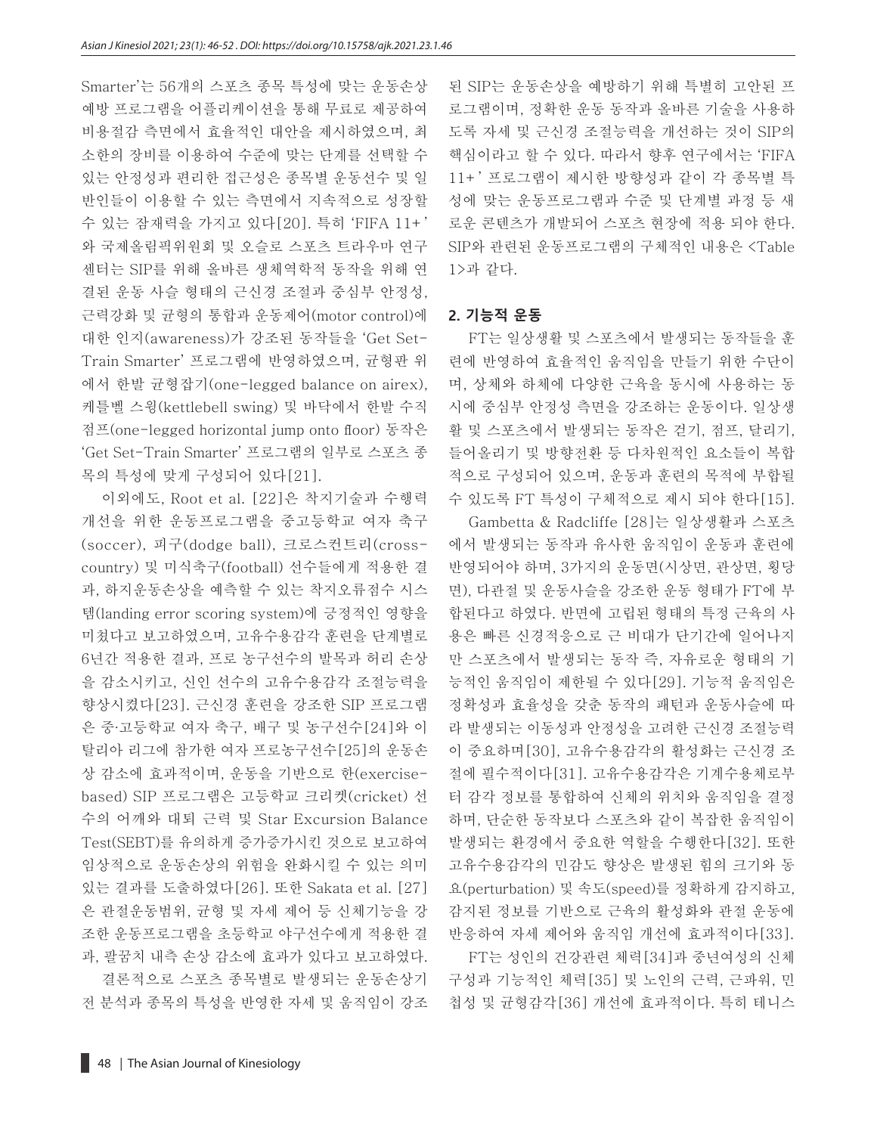Smarter'는 56개의 스포츠 종목 특성에 맞는 운동손상 예방 프로그램을 어플리케이션을 통해 무료로 제공하여 비용절감 측면에서 효율적인 대안을 제시하였으며, 최 소한의 장비를 이용하여 수준에 맞는 단계를 선택할 수 있는 안정성과 편리한 접근성은 종목별 운동선수 및 일 반인들이 이용할 수 있는 측면에서 지속적으로 성장할 수 있는 잠재력을 가지고 있다[20]. 특히 'FIFA 11+' 와 국제올림픽위원회 및 오슬로 스포츠 트라우마 연구 센터는 SIP를 위해 올바른 생체역학적 동작을 위해 연 결된 운동 사슬 형태의 근신경 조절과 중심부 안정성, 근력강화 및 균형의 통합과 운동제어(motor control)에 대한 인지(awareness)가 강조된 동작들을 'Get Set-Train Smarter' 프로그램에 반영하였으며, 균형판 위 에서 한발 균형잡기(one-legged balance on airex), 케틀벨 스윙(kettlebell swing) 및 바닥에서 한발 수직 점프(one-legged horizontal jump onto floor) 동작은 'Get Set-Train Smarter' 프로그램의 일부로 스포츠 종 목의 특성에 맞게 구성되어 있다[21].

이외에도, Root et al. [22]은 착지기술과 수행력 개선을 위한 운동프로그램을 중고등학교 여자 축구 (soccer), 피구(dodge ball), 크로스컨트리(crosscountry) 및 미식축구(football) 선수들에게 적용한 결 과, 하지운동손상을 예측할 수 있는 착지오류점수 시스 템(landing error scoring system)에 긍정적인 영향을 미쳤다고 보고하였으며, 고유수용감각 훈련을 단계별로 6년간 적용한 결과, 프로 농구선수의 발목과 허리 손상 을 감소시키고, 신인 선수의 고유수용감각 조절능력을 향상시켰다[23]. 근신경 훈련을 강조한 SIP 프로그램 은 중∙고등학교 여자 축구, 배구 및 농구선수[24]와 이 탈리아 리그에 참가한 여자 프로농구선수[25]의 운동손 상 감소에 효과적이며, 운동을 기반으로 한(exercisebased) SIP 프로그램은 고등학교 크리켓(cricket) 선 수의 어깨와 대퇴 근력 및 [Star Excursion Balance](http://blog.naver.com/PostView.nhn?blogId=thisl&logNo=221969276691)  [Test\(SEBT\)를](http://blog.naver.com/PostView.nhn?blogId=thisl&logNo=221969276691) 유의하게 증가증가시킨 것으로 보고하여 임상적으로 운동손상의 위험을 완화시킬 수 있는 의미 있는 결과를 도출하였다[26]. 또한 Sakata et al. [27] 은 관절운동범위, 균형 및 자세 제어 등 신체기능을 강 조한 운동프로그램을 초등학교 야구선수에게 적용한 결 과, 팔꿈치 내측 손상 감소에 효과가 있다고 보고하였다.

결론적으로 스포츠 종목별로 발생되는 운동손상기 전 분석과 종목의 특성을 반영한 자세 및 움직임이 강조 된 SIP는 운동손상을 예방하기 위해 특별히 고안된 프 로그램이며, 정확한 운동 동작과 올바른 기술을 사용하 도록 자세 및 근신경 조절능력을 개선하는 것이 SIP의 핵심이라고 할 수 있다. 따라서 향후 연구에서는 'FIFA 11+' 프로그램이 제시한 방향성과 같이 각 종목별 특 성에 맞는 운동프로그램과 수준 및 단계별 과정 등 새 로운 콘텐츠가 개발되어 스포츠 현장에 적용 되야 한다. SIP와 관련된 운동프로그램의 구체적인 내용은 <Table 1>과 같다.

#### **2. 기능적 운동**

FT는 일상생활 및 스포츠에서 발생되는 동작들을 훈 련에 반영하여 효율적인 움직임을 만들기 위한 수단이 며, 상체와 하체에 다양한 근육을 동시에 사용하는 동 시에 중심부 안정성 측면을 강조하는 운동이다. 일상생 활 및 스포츠에서 발생되는 동작은 걷기, 점프, 달리기, 들어올리기 및 방향전환 등 다차원적인 요소들이 복합 적으로 구성되어 있으며, 운동과 훈련의 목적에 부합될 수 있도록 FT 특성이 구체적으로 제시 되야 한다[15].

Gambetta & Radcliffe [28]는 일상생활과 스포츠 에서 발생되는 동작과 유사한 움직임이 운동과 훈련에 반영되어야 하며, 3가지의 운동면(시상면, 관상면, 횡당 면), 다관절 및 운동사슬을 강조한 운동 형태가 FT에 부 합된다고 하였다. 반면에 고립된 형태의 특정 근육의 사 용은 빠른 신경적응으로 근 비대가 단기간에 일어나지 만 스포츠에서 발생되는 동작 즉, 자유로운 형태의 기 능적인 움직임이 제한될 수 있다[29]. 기능적 움직임은 정확성과 효율성을 갖춘 동작의 패턴과 운동사슬에 따 라 발생되는 이동성과 안정성을 고려한 근신경 조절능력 이 중요하며[30], 고유수용감각의 활성화는 근신경 조 절에 필수적이다[31]. 고유수용감각은 기계수용체로부 터 감각 정보를 통합하여 신체의 위치와 움직임을 결정 하며, 단순한 동작보다 스포츠와 같이 복잡한 움직임이 발생되는 환경에서 중요한 역할을 수행한다[32]. 또한 고유수용감각의 민감도 향상은 발생된 힘의 크기와 동 요(perturbation) 및 속도(speed)를 정확하게 감지하고, 감지된 정보를 기반으로 근육의 활성화와 관절 운동에 반응하여 자세 제어와 움직임 개선에 효과적이다[33].

FT는 성인의 건강관련 체력[34]과 중년여성의 신체 구성과 기능적인 체력[35] 및 노인의 근력, 근파워, 민 첩성 및 균형감각[36] 개선에 효과적이다. 특히 테니스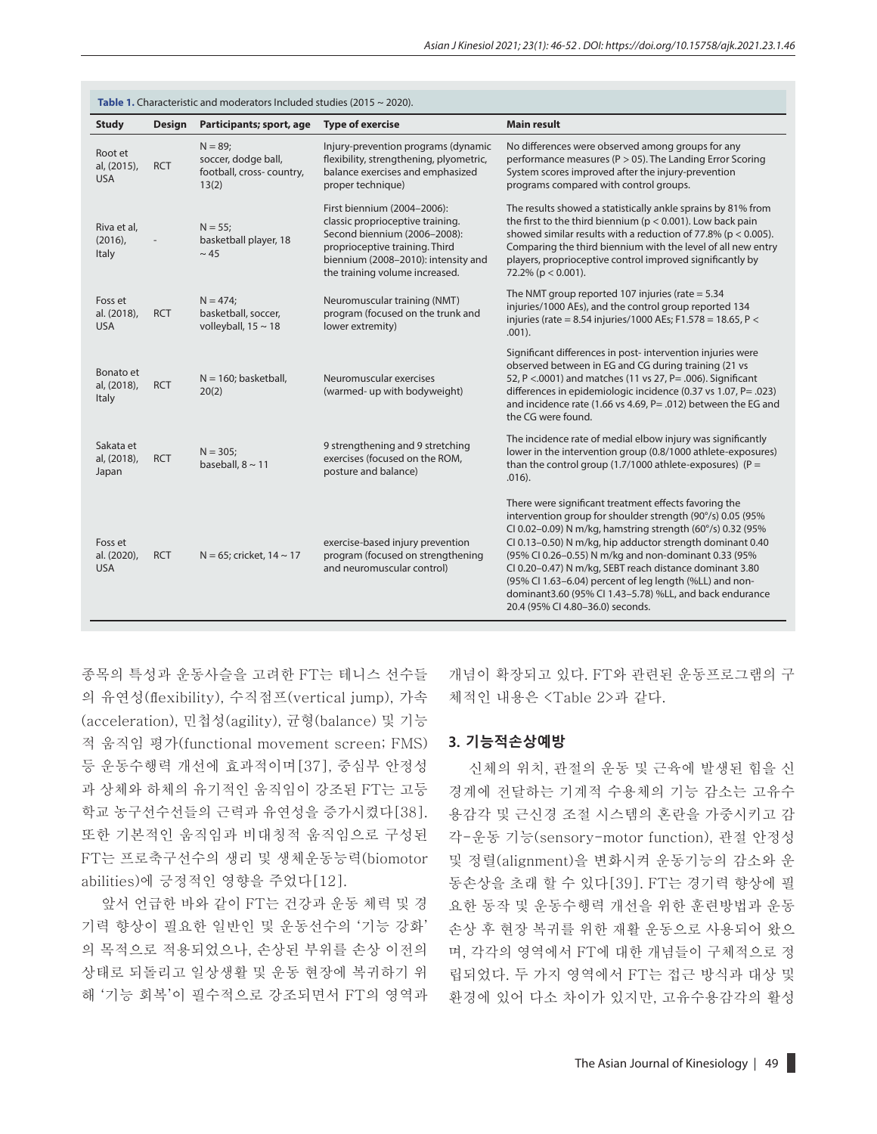| Table 1. Characteristic and moderators Included studies (2015 $\sim$ 2020). |               |                                                                       |                                                                                                                                                                                                            |                                                                                                                                                                                                                                                                                                                                                                                                                                                                                                                             |  |  |  |
|-----------------------------------------------------------------------------|---------------|-----------------------------------------------------------------------|------------------------------------------------------------------------------------------------------------------------------------------------------------------------------------------------------------|-----------------------------------------------------------------------------------------------------------------------------------------------------------------------------------------------------------------------------------------------------------------------------------------------------------------------------------------------------------------------------------------------------------------------------------------------------------------------------------------------------------------------------|--|--|--|
| <b>Study</b>                                                                | <b>Design</b> | Participants; sport, age                                              | <b>Type of exercise</b>                                                                                                                                                                                    | <b>Main result</b>                                                                                                                                                                                                                                                                                                                                                                                                                                                                                                          |  |  |  |
| Root et<br>al, (2015),<br><b>USA</b>                                        | <b>RCT</b>    | $N = 89;$<br>soccer, dodge ball,<br>football, cross-country,<br>13(2) | Injury-prevention programs (dynamic<br>flexibility, strengthening, plyometric,<br>balance exercises and emphasized<br>proper technique)                                                                    | No differences were observed among groups for any<br>performance measures ( $P > 05$ ). The Landing Error Scoring<br>System scores improved after the injury-prevention<br>programs compared with control groups.                                                                                                                                                                                                                                                                                                           |  |  |  |
| Riva et al.<br>$(2016)$ ,<br>Italy                                          |               | $N = 55$ ;<br>basketball player, 18<br>$~\sim$ 45                     | First biennium (2004-2006):<br>classic proprioceptive training.<br>Second biennium (2006-2008):<br>proprioceptive training. Third<br>biennium (2008-2010): intensity and<br>the training volume increased. | The results showed a statistically ankle sprains by 81% from<br>the first to the third biennium ( $p < 0.001$ ). Low back pain<br>showed similar results with a reduction of 77.8% ( $p < 0.005$ ).<br>Comparing the third biennium with the level of all new entry<br>players, proprioceptive control improved significantly by<br>$72.2\%$ (p < 0.001).                                                                                                                                                                   |  |  |  |
| Foss et<br>al. (2018),<br><b>USA</b>                                        | <b>RCT</b>    | $N = 474$<br>basketball, soccer,<br>volleyball, $15 \sim 18$          | Neuromuscular training (NMT)<br>program (focused on the trunk and<br>lower extremity)                                                                                                                      | The NMT group reported 107 injuries (rate $= 5.34$<br>injuries/1000 AEs), and the control group reported 134<br>injuries (rate = 8.54 injuries/1000 AEs; F1.578 = 18.65, P <<br>$.001$ ).                                                                                                                                                                                                                                                                                                                                   |  |  |  |
| Bonato et<br>al, (2018),<br>Italy                                           | <b>RCT</b>    | $N = 160$ ; basketball,<br>20(2)                                      | Neuromuscular exercises<br>(warmed- up with bodyweight)                                                                                                                                                    | Significant differences in post- intervention injuries were<br>observed between in EG and CG during training (21 vs<br>52, P <. 0001) and matches (11 vs 27, P = . 006). Significant<br>differences in epidemiologic incidence (0.37 vs 1.07, P= .023)<br>and incidence rate (1.66 vs 4.69, P= .012) between the EG and<br>the CG were found.                                                                                                                                                                               |  |  |  |
| Sakata et<br>al, (2018),<br>Japan                                           | <b>RCT</b>    | $N = 305$ ;<br>baseball, $8 \sim 11$                                  | 9 strengthening and 9 stretching<br>exercises (focused on the ROM,<br>posture and balance)                                                                                                                 | The incidence rate of medial elbow injury was significantly<br>lower in the intervention group (0.8/1000 athlete-exposures)<br>than the control group (1.7/1000 athlete-exposures) ( $P =$<br>$.016$ ).                                                                                                                                                                                                                                                                                                                     |  |  |  |
| Foss et<br>al. (2020),<br><b>USA</b>                                        | <b>RCT</b>    | $N = 65$ ; cricket, 14 ~ 17                                           | exercise-based injury prevention<br>program (focused on strengthening<br>and neuromuscular control)                                                                                                        | There were significant treatment effects favoring the<br>intervention group for shoulder strength (90°/s) 0.05 (95%<br>CI 0.02-0.09) N m/kg, hamstring strength (60°/s) 0.32 (95%<br>CI 0.13-0.50) N m/kg, hip adductor strength dominant 0.40<br>(95% CI 0.26-0.55) N m/kg and non-dominant 0.33 (95%<br>CI 0.20-0.47) N m/kg, SEBT reach distance dominant 3.80<br>(95% Cl 1.63-6.04) percent of leg length (%LL) and non-<br>dominant3.60 (95% CI 1.43-5.78) %LL, and back endurance<br>20.4 (95% CI 4.80-36.0) seconds. |  |  |  |

종목의 특성과 운동사슬을 고려한 FT는 테니스 선수들 의 유연성(flexibility), 수직점프(vertical jump), 가속 (acceleration), 민첩성(agility), 균형(balance) 및 기능 적 움직임 평가(functional movement screen; FMS) 등 운동수행력 개선에 효과적이며[37], 중심부 안정성 과 상체와 하체의 유기적인 움직임이 강조된 FT는 고등 학교 농구선수선들의 근력과 유연성을 증가시켰다[38]. 또한 기본적인 움직임과 비대칭적 움직임으로 구성된 FT는 프로축구선수의 생리 및 생체운동능력(biomotor abilities)에 긍정적인 영향을 주었다[12].

앞서 언급한 바와 같이 FT는 건강과 운동 체력 및 경 기력 향상이 필요한 일반인 및 운동선수의 '기능 강화' 의 목적으로 적용되었으나, 손상된 부위를 손상 이전의 상태로 되돌리고 일상생활 및 운동 현장에 복귀하기 위 해 '기능 회복'이 필수적으로 강조되면서 FT의 영역과 개념이 확장되고 있다. FT와 관련된 운동프로그램의 구 체적인 내용은 <Table 2>과 같다.

#### **3. 기능적손상예방**

신체의 위치, 관절의 운동 및 근육에 발생된 힘을 신 경계에 전달하는 기계적 수용체의 기능 감소는 고유수 용감각 및 근신경 조절 시스템의 혼란을 가중시키고 감 각-운동 기능(sensory-motor function), 관절 안정성 및 정렬(alignment)을 변화시켜 운동기능의 감소와 운 동손상을 초래 할 수 있다[39]. FT는 경기력 향상에 필 요한 동작 및 운동수행력 개선을 위한 훈련방법과 운동 손상 후 현장 복귀를 위한 재활 운동으로 사용되어 왔으 며, 각각의 영역에서 FT에 대한 개념들이 구체적으로 정 립되었다. 두 가지 영역에서 FT는 접근 방식과 대상 및 환경에 있어 다소 차이가 있지만, 고유수용감각의 활성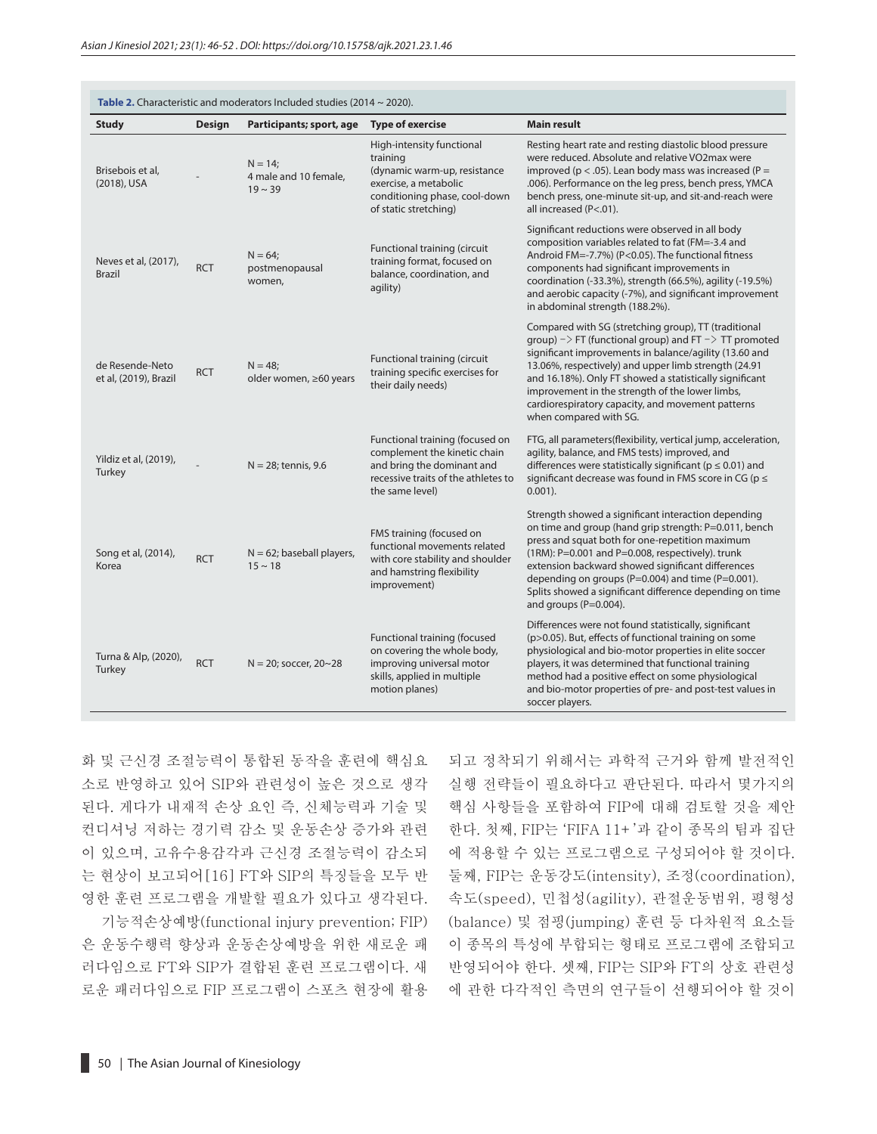| Table 2. Characteristic and moderators Included studies (2014 $\sim$ 2020). |               |                                                   |                                                                                                                                                          |                                                                                                                                                                                                                                                                                                                                                                                                                                                    |  |  |  |
|-----------------------------------------------------------------------------|---------------|---------------------------------------------------|----------------------------------------------------------------------------------------------------------------------------------------------------------|----------------------------------------------------------------------------------------------------------------------------------------------------------------------------------------------------------------------------------------------------------------------------------------------------------------------------------------------------------------------------------------------------------------------------------------------------|--|--|--|
| <b>Study</b>                                                                | <b>Design</b> | Participants; sport, age                          | <b>Type of exercise</b>                                                                                                                                  | <b>Main result</b>                                                                                                                                                                                                                                                                                                                                                                                                                                 |  |  |  |
| Brisebois et al,<br>(2018), USA                                             |               | $N = 14$<br>4 male and 10 female,<br>$19 \sim 39$ | High-intensity functional<br>training<br>(dynamic warm-up, resistance<br>exercise, a metabolic<br>conditioning phase, cool-down<br>of static stretching) | Resting heart rate and resting diastolic blood pressure<br>were reduced. Absolute and relative VO2max were<br>improved ( $p < .05$ ). Lean body mass was increased ( $P =$<br>.006). Performance on the leg press, bench press, YMCA<br>bench press, one-minute sit-up, and sit-and-reach were<br>all increased (P<.01).                                                                                                                           |  |  |  |
| Neves et al, (2017),<br><b>Brazil</b>                                       | <b>RCT</b>    | $N = 64$<br>postmenopausal<br>women,              | Functional training (circuit<br>training format, focused on<br>balance, coordination, and<br>agility)                                                    | Significant reductions were observed in all body<br>composition variables related to fat (FM=-3.4 and<br>Android FM=-7.7%) (P<0.05). The functional fitness<br>components had significant improvements in<br>coordination (-33.3%), strength (66.5%), agility (-19.5%)<br>and aerobic capacity (-7%), and significant improvement<br>in abdominal strength (188.2%).                                                                               |  |  |  |
| de Resende-Neto<br>et al, (2019), Brazil                                    | <b>RCT</b>    | $N = 48$<br>older women, ≥60 years                | Functional training (circuit<br>training specific exercises for<br>their daily needs)                                                                    | Compared with SG (stretching group), TT (traditional<br>group) $\rightarrow$ FT (functional group) and FT $\rightarrow$ TT promoted<br>significant improvements in balance/agility (13.60 and<br>13.06%, respectively) and upper limb strength (24.91<br>and 16.18%). Only FT showed a statistically significant<br>improvement in the strength of the lower limbs,<br>cardiorespiratory capacity, and movement patterns<br>when compared with SG. |  |  |  |
| Yildiz et al, (2019),<br>Turkey                                             |               | $N = 28$ ; tennis, 9.6                            | Functional training (focused on<br>complement the kinetic chain<br>and bring the dominant and<br>recessive traits of the athletes to<br>the same level)  | FTG, all parameters(flexibility, vertical jump, acceleration,<br>agility, balance, and FMS tests) improved, and<br>differences were statistically significant ( $p \le 0.01$ ) and<br>significant decrease was found in FMS score in CG ( $p \le$<br>$0.001$ ).                                                                                                                                                                                    |  |  |  |
| Song et al, (2014),<br>Korea                                                | <b>RCT</b>    | $N = 62$ ; baseball players,<br>$15 \sim 18$      | FMS training (focused on<br>functional movements related<br>with core stability and shoulder<br>and hamstring flexibility<br>improvement)                | Strength showed a significant interaction depending<br>on time and group (hand grip strength: P=0.011, bench<br>press and squat both for one-repetition maximum<br>(1RM): P=0.001 and P=0.008, respectively). trunk<br>extension backward showed significant differences<br>depending on groups (P=0.004) and time (P=0.001).<br>Splits showed a significant difference depending on time<br>and groups (P=0.004).                                 |  |  |  |
| Turna & Alp, (2020),<br>Turkey                                              | <b>RCT</b>    | $N = 20$ ; soccer, $20 - 28$                      | Functional training (focused<br>on covering the whole body,<br>improving universal motor<br>skills, applied in multiple<br>motion planes)                | Differences were not found statistically, significant<br>(p>0.05). But, effects of functional training on some<br>physiological and bio-motor properties in elite soccer<br>players, it was determined that functional training<br>method had a positive effect on some physiological<br>and bio-motor properties of pre- and post-test values in<br>soccer players.                                                                               |  |  |  |

화 및 근신경 조절능력이 통합된 동작을 훈련에 핵심요 소로 반영하고 있어 SIP와 관련성이 높은 것으로 생각 된다. 게다가 내재적 손상 요인 즉, 신체능력과 기술 및 컨디셔닝 저하는 경기력 감소 및 운동손상 증가와 관련 이 있으며, 고유수용감각과 근신경 조절능력이 감소되 는 현상이 보고되어[16] FT와 SIP의 특징들을 모두 반 영한 훈련 프로그램을 개발할 필요가 있다고 생각된다.

기능적손상예방(functional injury prevention; FIP) 은 운동수행력 향상과 운동손상예방을 위한 새로운 패 러다임으로 FT와 SIP가 결합된 훈련 프로그램이다. 새 로운 패러다임으로 FIP 프로그램이 스포츠 현장에 활용 되고 정착되기 위해서는 과학적 근거와 함께 발전적인 실행 전략들이 필요하다고 판단된다. 따라서 몇가지의 핵심 사항들을 포함하여 FIP에 대해 검토할 것을 제안 한다. 첫째, FIP는 'FIFA 11+'과 같이 종목의 팀과 집단 에 적용할 수 있는 프로그램으로 구성되어야 할 것이다. 둘째, FIP는 운동강도(intensity), 조정(coordination), 속도(speed), 민첩성(agility), 관절운동범위, 평형성 (balance) 및 점핑(jumping) 훈련 등 다차원적 요소들 이 종목의 특성에 부합되는 형태로 프로그램에 조합되고 반영되어야 한다. 셋째, FIP는 SIP와 FT의 상호 관련성 에 관한 다각적인 측면의 연구들이 선행되어야 할 것이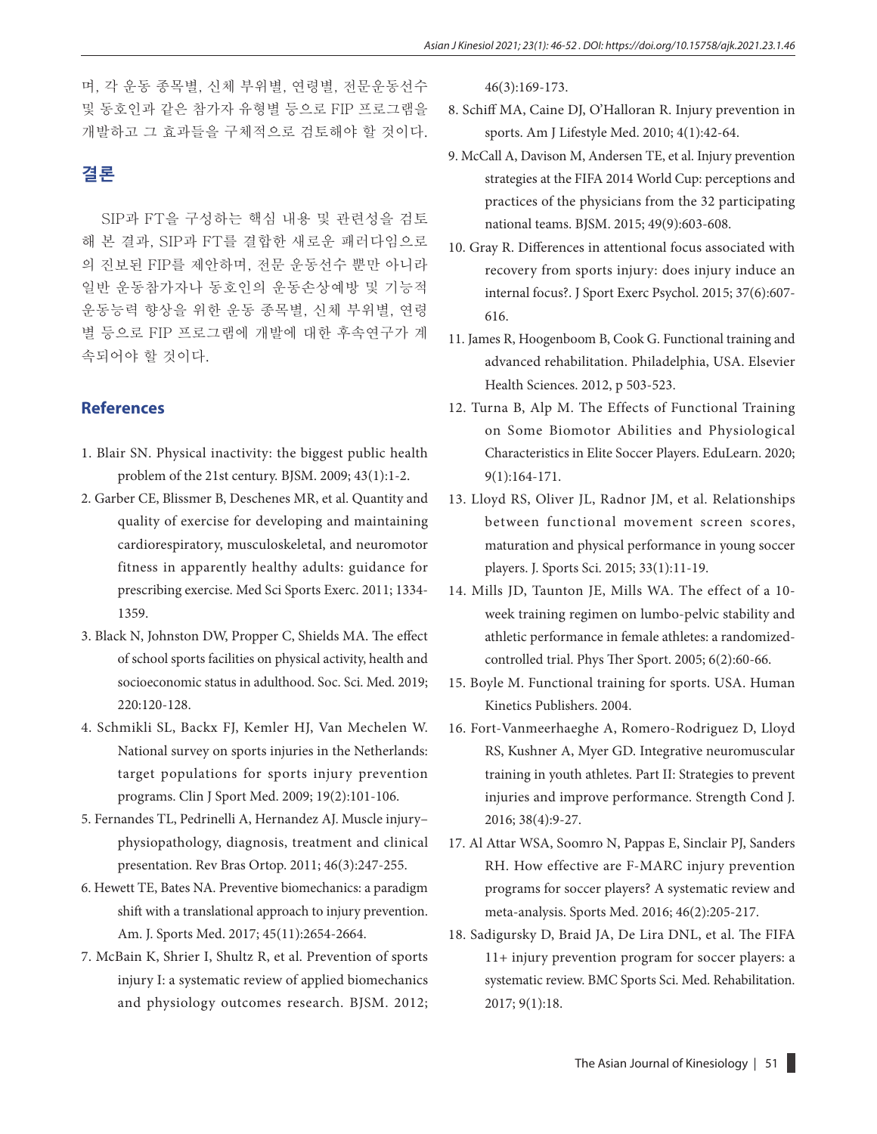며, 각 운동 종목별, 신체 부위별, 연령별, 전문운동선수 및 동호인과 같은 참가자 유형별 등으로 FIP 프로그램을 개발하고 그 효과들을 구체적으로 검토해야 할 것이다.

## **결론**

SIP과 FT을 구성하는 핵심 내용 및 관련성을 검토 해 본 결과, SIP과 FT를 결합한 새로운 패러다임으로 의 진보된 FIP를 제안하며, 전문 운동선수 뿐만 아니라 일반 운동참가자나 동호인의 운동손상예방 및 기능적 운동능력 향상을 위한 운동 종목별, 신체 부위별, 연령 별 등으로 FIP 프로그램에 개발에 대한 후속연구가 계 속되어야 할 것이다.

### **References**

- 1. Blair SN. Physical inactivity: the biggest public health problem of the 21st century. BJSM. 2009; 43(1):1-2.
- 2. Garber CE, Blissmer B, Deschenes MR, et al. Quantity and quality of exercise for developing and maintaining cardiorespiratory, musculoskeletal, and neuromotor fitness in apparently healthy adults: guidance for prescribing exercise. Med Sci Sports Exerc. 2011; 1334- 1359.
- 3. Black N, Johnston DW, Propper C, Shields MA. The effect of school sports facilities on physical activity, health and socioeconomic status in adulthood. Soc. Sci. Med. 2019; 220:120-128.
- 4. Schmikli SL, Backx FJ, Kemler HJ, Van Mechelen W. National survey on sports injuries in the Netherlands: target populations for sports injury prevention programs. Clin J Sport Med. 2009; 19(2):101-106.
- 5. Fernandes TL, Pedrinelli A, Hernandez AJ. Muscle injury– physiopathology, diagnosis, treatment and clinical presentation. Rev Bras Ortop. 2011; 46(3):247-255.
- 6. Hewett TE, Bates NA. Preventive biomechanics: a paradigm shift with a translational approach to injury prevention. Am. J. Sports Med. 2017; 45(11):2654-2664.
- 7. McBain K, Shrier I, Shultz R, et al. Prevention of sports injury I: a systematic review of applied biomechanics and physiology outcomes research. BJSM. 2012;

46(3):169-173.

- 8. Schiff MA, Caine DJ, O'Halloran R. Injury prevention in sports. Am J Lifestyle Med. 2010; 4(1):42-64.
- 9. McCall A, Davison M, Andersen TE, et al. Injury prevention strategies at the FIFA 2014 World Cup: perceptions and practices of the physicians from the 32 participating national teams. BJSM. 2015; 49(9):603-608.
- 10. Gray R. Differences in attentional focus associated with recovery from sports injury: does injury induce an internal focus?. J Sport Exerc Psychol. 2015; 37(6):607- 616.
- 11. James R, Hoogenboom B, Cook G. Functional training and advanced rehabilitation. Philadelphia, USA. Elsevier Health Sciences. 2012, p 503-523.
- 12. Turna B, Alp M. The Effects of Functional Training on Some Biomotor Abilities and Physiological Characteristics in Elite Soccer Players. EduLearn. 2020; 9(1):164-171.
- 13. Lloyd RS, Oliver JL, Radnor JM, et al. Relationships between functional movement screen scores, maturation and physical performance in young soccer players. J. Sports Sci. 2015; 33(1):11-19.
- 14. Mills JD, Taunton JE, Mills WA. The effect of a 10 week training regimen on lumbo-pelvic stability and athletic performance in female athletes: a randomizedcontrolled trial. Phys Ther Sport. 2005; 6(2):60-66.
- 15. Boyle M. Functional training for sports. USA. Human Kinetics Publishers. 2004.
- 16. Fort-Vanmeerhaeghe A, Romero-Rodriguez D, Lloyd RS, Kushner A, Myer GD. Integrative neuromuscular training in youth athletes. Part II: Strategies to prevent injuries and improve performance. Strength Cond J. 2016; 38(4):9-27.
- 17. Al Attar WSA, Soomro N, Pappas E, Sinclair PJ, Sanders RH. How effective are F-MARC injury prevention programs for soccer players? A systematic review and meta-analysis. Sports Med. 2016; 46(2):205-217.
- 18. Sadigursky D, Braid JA, De Lira DNL, et al. The FIFA 11+ injury prevention program for soccer players: a systematic review. BMC Sports Sci. Med. Rehabilitation. 2017; 9(1):18.